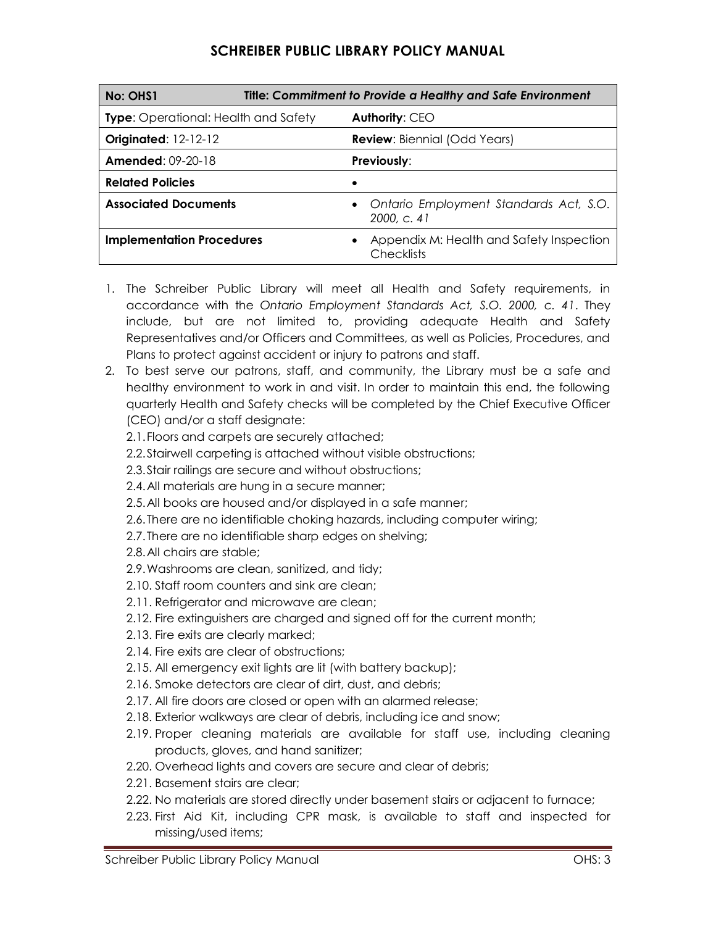## **SCHREIBER PUBLIC LIBRARY POLICY MANUAL**

| Title: Commitment to Provide a Healthy and Safe Environment<br>No: OHS1 |                                                               |
|-------------------------------------------------------------------------|---------------------------------------------------------------|
| <b>Type:</b> Operational: Health and Safety                             | Authority: CEO                                                |
| <b>Originated: 12-12-12</b>                                             | <b>Review:</b> Biennial (Odd Years)                           |
| <b>Amended: 09-20-18</b>                                                | <b>Previously:</b>                                            |
| <b>Related Policies</b>                                                 |                                                               |
| <b>Associated Documents</b>                                             | • Ontario Employment Standards Act, S.O.<br>2000, C. 41       |
| <b>Implementation Procedures</b>                                        | Appendix M: Health and Safety Inspection<br><b>Checklists</b> |

- 1. The Schreiber Public Library will meet all Health and Safety requirements, in accordance with the *Ontario Employment Standards Act, S.O. 2000, c. 41*. They include, but are not limited to, providing adequate Health and Safety Representatives and/or Officers and Committees, as well as Policies, Procedures, and Plans to protect against accident or injury to patrons and staff.
- 2. To best serve our patrons, staff, and community, the Library must be a safe and healthy environment to work in and visit. In order to maintain this end, the following quarterly Health and Safety checks will be completed by the Chief Executive Officer (CEO) and/or a staff designate:

2.1.Floors and carpets are securely attached;

2.2.Stairwell carpeting is attached without visible obstructions;

2.3.Stair railings are secure and without obstructions;

2.4.All materials are hung in a secure manner;

2.5.All books are housed and/or displayed in a safe manner;

- 2.6.There are no identifiable choking hazards, including computer wiring;
- 2.7.There are no identifiable sharp edges on shelving;

2.8.All chairs are stable;

- 2.9.Washrooms are clean, sanitized, and tidy;
- 2.10. Staff room counters and sink are clean;
- 2.11. Refrigerator and microwave are clean;
- 2.12. Fire extinguishers are charged and signed off for the current month;
- 2.13. Fire exits are clearly marked;
- 2.14. Fire exits are clear of obstructions;
- 2.15. All emergency exit lights are lit (with battery backup);
- 2.16. Smoke detectors are clear of dirt, dust, and debris;
- 2.17. All fire doors are closed or open with an alarmed release;
- 2.18. Exterior walkways are clear of debris, including ice and snow;
- 2.19. Proper cleaning materials are available for staff use, including cleaning products, gloves, and hand sanitizer;
- 2.20. Overhead lights and covers are secure and clear of debris;
- 2.21. Basement stairs are clear;
- 2.22. No materials are stored directly under basement stairs or adjacent to furnace;
- 2.23. First Aid Kit, including CPR mask, is available to staff and inspected for missing/used items;